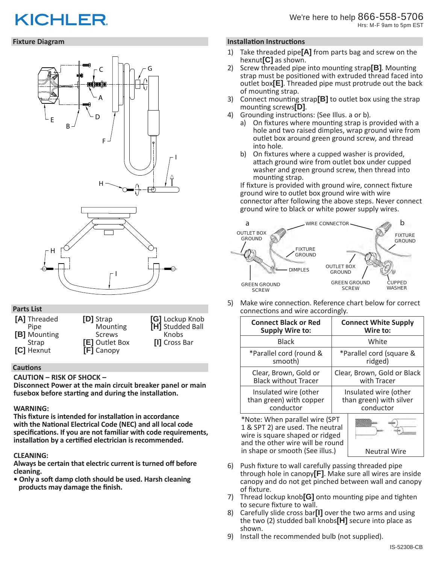# **KICHLER**

## **Fixture Diagram**



## **Parts List**

| [A] Threaded      | [D] Strap      | [G] Lockup Knob  |
|-------------------|----------------|------------------|
| Pipe              | Mounting       | [H] Studded Ball |
| [B] Mounting      | <b>Screws</b>  | Knobs            |
| Strap             | [E] Outlet Box | [I] Cross Bar    |
| <b>[C]</b> Hexnut | [F] Canopy     |                  |

## **Cautions**

**CAUTION – RISK OF SHOCK –** 

**Disconnect Power at the main circuit breaker panel or main fusebox before starting and during the installation.** 

# **WARNING:**

**This fixture is intended for installation in accordance with the National Electrical Code (NEC) and all local code specifications. If you are not familiar with code requirements, installation by a certified electrician is recommended.**

# **CLEANING:**

**Always be certain that electric current is turned off before cleaning.**

**• Only a soft damp cloth should be used. Harsh cleaning products may damage the finish.**

## **Installation Instructions**

- 1) Take threaded pipe**[A]** from parts bag and screw on the hexnut**[C]** as shown.
- 2) Screw threaded pipe into mounting strap**[B]**. Mounting strap must be positioned with extruded thread faced into outlet box**[E]**. Threaded pipe must protrude out the back of mounting strap.
- 3) Connect mounting strap**[B]** to outlet box using the strap mounting screws**[D]**.
- 4) Grounding instructions: (See Illus. a or b).
	- a) On fixtures where mounting strap is provided with a hole and two raised dimples, wrap ground wire from outlet box around green ground screw, and thread into hole.
	- b) On fixtures where a cupped washer is provided, attach ground wire from outlet box under cupped washer and green ground screw, then thread into mounting strap.

If fixture is provided with ground wire, connect fixture ground wire to outlet box ground wire with wire connector after following the above steps. Never connect ground wire to black or white power supply wires.



5) Make wire connection. Reference chart below for correct connections and wire accordingly.

| <b>Connect Black or Red</b>                                                                           | <b>Connect White Supply</b> |  |
|-------------------------------------------------------------------------------------------------------|-----------------------------|--|
| <b>Supply Wire to:</b>                                                                                | Wire to:                    |  |
| <b>Black</b>                                                                                          | White                       |  |
| *Parallel cord (round &                                                                               | *Parallel cord (square &    |  |
| smooth)                                                                                               | ridged)                     |  |
| Clear, Brown, Gold or                                                                                 | Clear, Brown, Gold or Black |  |
| <b>Black without Tracer</b>                                                                           | with Tracer                 |  |
| Insulated wire (other                                                                                 | Insulated wire (other       |  |
| than green) with copper                                                                               | than green) with silver     |  |
| conductor                                                                                             | conductor                   |  |
| *Note: When parallel wire (SPT<br>1 & SPT 2) are used. The neutral<br>wire is square shaped or ridged |                             |  |

and the other wire will be round in shape or smooth (See illus.) Neutral Wire

- 6) Push fixture to wall carefully passing threaded pipe through hole in canopy**[F]**. Make sure all wires are inside canopy and do not get pinched between wall and canopy of fixture.
- 7) Thread lockup knob**[G]** onto mounting pipe and tighten to secure fixture to wall.
- 8) Carefully slide cross bar**[I]** over the two arms and using the two (2) studded ball knobs**[H]** secure into place as shown.
- 9) Install the recommended bulb (not supplied).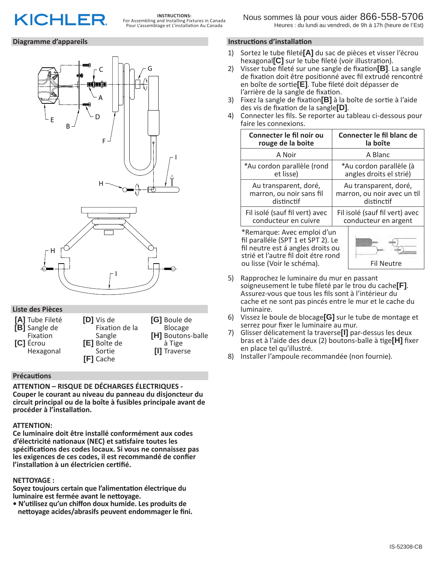

## **Diagramme d'appareils**



## **Liste des Pièces**

| [A] Tube Fileté  | <b>D</b> Vis de  | [G] Boule de      |
|------------------|------------------|-------------------|
| [B] Sangle de    | Fixation de la   | Blocage           |
| Fixation         | Sangle           | [H] Boutons-balle |
| <b>[C]</b> Écrou | [E] Boîte de     | à Tige            |
| Hexagonal        | Sortie           | [I] Traverse      |
|                  | <b>[F]</b> Cache |                   |

## **Précautions**

**ATTENTION – RISQUE DE DÉCHARGES ÉLECTRIQUES - Couper le courant au niveau du panneau du disjoncteur du circuit principal ou de la boîte à fusibles principale avant de procéder à l'installation.**

#### **ATTENTION:**

**Ce luminaire doit être installé conformément aux codes d'électricité nationaux (NEC) et satisfaire toutes les spécifications des codes locaux. Si vous ne connaissez pas les exigences de ces codes, il est recommandé de confier l'installation à un électricien certifié.**

#### **NETTOYAGE :**

**Soyez toujours certain que l'alimentation électrique du luminaire est fermée avant le nettoyage.**

**• N'utilisez qu'un chiffon doux humide. Les produits de nettoyage acides/abrasifs peuvent endommager le fini.**

# **Instructions d'installation**

- 1) Sortez le tube fileté**[A]** du sac de pièces et visser l'écrou hexagonal**[C]** sur le tube fileté (voir illustration).
- 2) Visser tube fileté sur une sangle de fixation**[B]**. La sangle de fixation doit être positionné avec fil extrudé rencontré en boîte de sortie**[E]**. Tube fileté doit dépasser de l'arrière de la sangle de fixation.
- 3) Fixez la sangle de fixation**[B]** à la boîte de sortie à l'aide
- 4) Connecter les fils. Se reporter au tableau ci-dessous pour faire les connexions.

| Connecter le fil noir ou                                                                                                                                                    | Connecter le fil blanc de      |  |
|-----------------------------------------------------------------------------------------------------------------------------------------------------------------------------|--------------------------------|--|
| rouge de la boite                                                                                                                                                           | la boîte                       |  |
| A Noir                                                                                                                                                                      | A Blanc                        |  |
| *Au cordon parallèle (rond                                                                                                                                                  | *Au cordon parallèle (à        |  |
| et lisse)                                                                                                                                                                   | angles droits el strié)        |  |
| Au transparent, doré,                                                                                                                                                       | Au transparent, doré,          |  |
| marron, ou noir sans fil                                                                                                                                                    | marron, ou noir avec un til    |  |
| distinctif                                                                                                                                                                  | distinctif                     |  |
| Fil isolé (sauf fil vert) avec                                                                                                                                              | Fil isolé (sauf fil vert) avec |  |
| conducteur en cuivre                                                                                                                                                        | conducteur en argent           |  |
| *Remarque: Avec emploi d'un<br>fil paralléle (SPT 1 et SPT 2). Le<br>fil neutre est á angles droits ou<br>strié et l'autre fil doit étre rond<br>ou lisse (Voir le schéma). | <b>Fil Neutre</b>              |  |

- 5) Rapprochez le luminaire du mur en passant soigneusement le tube fileté par le trou du cache**[F]**. Assurez-vous que tous les fils sont à l'intérieur du cache et ne sont pas pincés entre le mur et le cache du luminaire.
- 6) Vissez le boule de blocage**[G]** sur le tube de montage et serrez pour fixer le luminaire au mur.
- 7) Glisser délicatement la traverse**[I]** par-dessus les deux bras et à l'aide des deux (2) boutons-balle à tige**[H]** fixer en place tel qu'illustré.
- 8) Installer l'ampoule recommandée (non fournie).